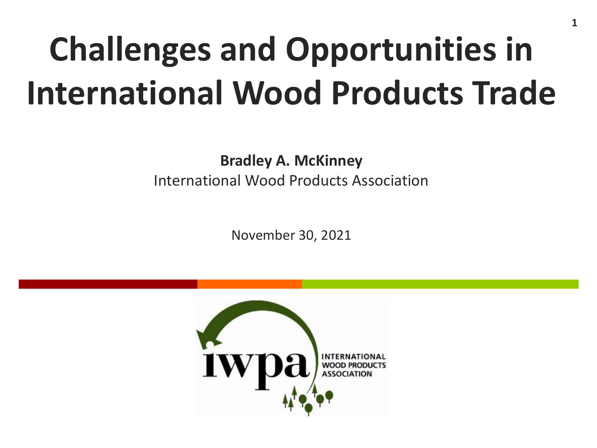# **Challenges and Opportunities in International Wood Products Trade**

**Bradley A. McKinney** International Wood Products Association

November 30, 2021

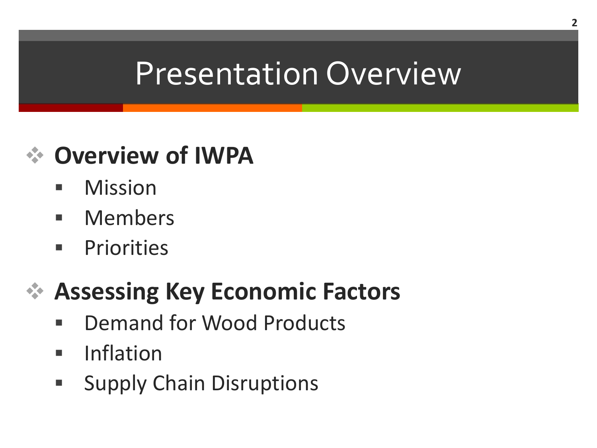#### Presentation Overview

#### **Overview of IWPA**

- **Nission**
- **Nembers**
- **Priorities**

#### **Assessing Key Economic Factors**

- **E** Demand for Wood Products
- **Inflation**
- **Supply Chain Disruptions**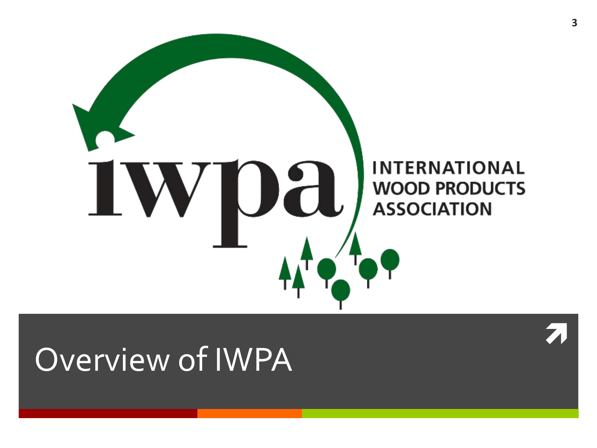

#### Overview of IWPA

 $\overline{\lambda}$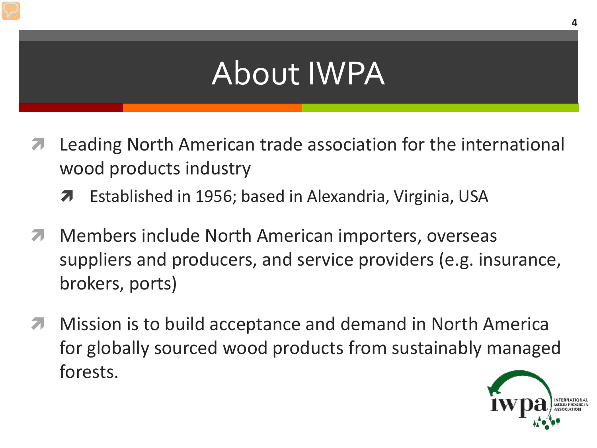## About IWPA

- **A** Leading North American trade association for the international wood products industry
	- Established in 1956; based in Alexandria, Virginia, USA
- **Members include North American importers, overseas** suppliers and producers, and service providers (e.g. insurance, brokers, ports)
- **Mission is to build acceptance and demand in North America** for globally sourced wood products from sustainably managed forests.

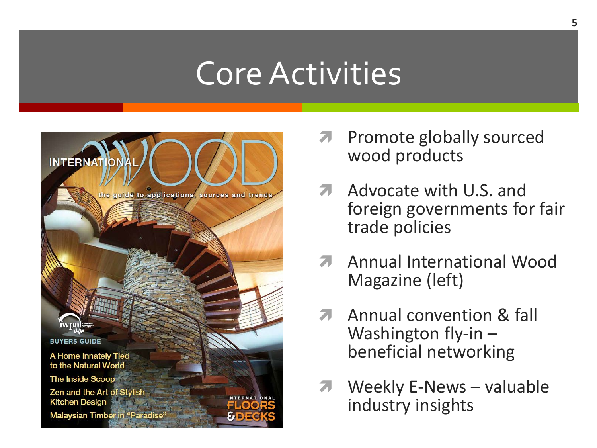#### Core Activities



- Promote globally sourced wood products
- **A** Advocate with U.S. and foreign governments for fair trade policies
- **A** Annual International Wood Magazine (left)
- **A** Annual convention & fall Washington fly-in –<br>beneficial networking
- **7** Weekly E-News valuable industry insights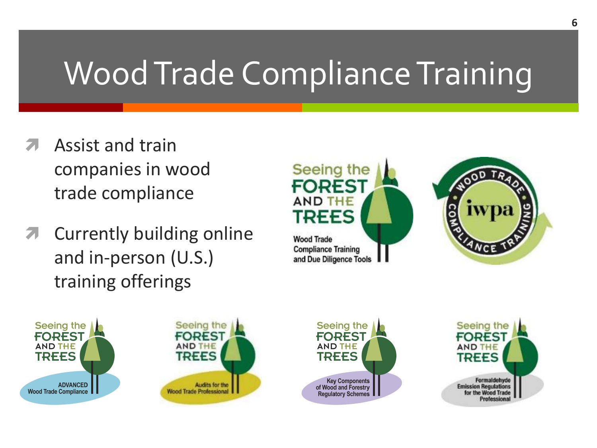## Wood Trade Compliance Training

- Assist and train companies in wood trade compliance
- **A** Currently building online and in-person (U.S.) training offerings











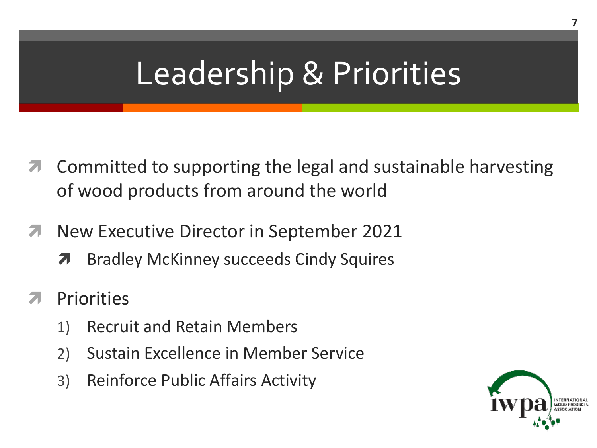### Leadership & Priorities

- **T** Committed to supporting the legal and sustainable harvesting of wood products from around the world
- **New Executive Director in September 2021** 
	- **A** Bradley McKinney succeeds Cindy Squires
- **Priorities** 
	- 1) Recruit and Retain Members
	- 2) Sustain Excellence in Member Service
	- 3) Reinforce Public Affairs Activity

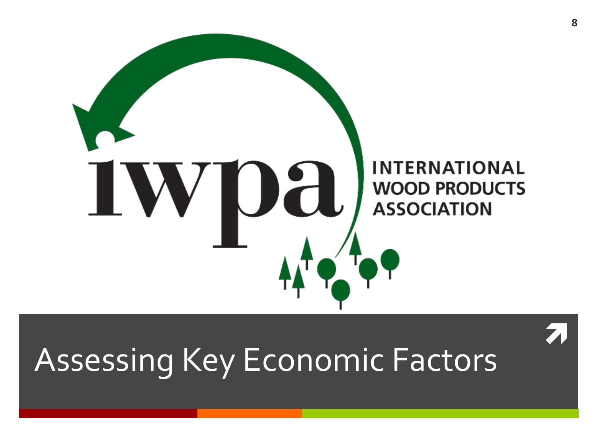

# Assessing Key Economic Factors

 $\overline{\lambda}$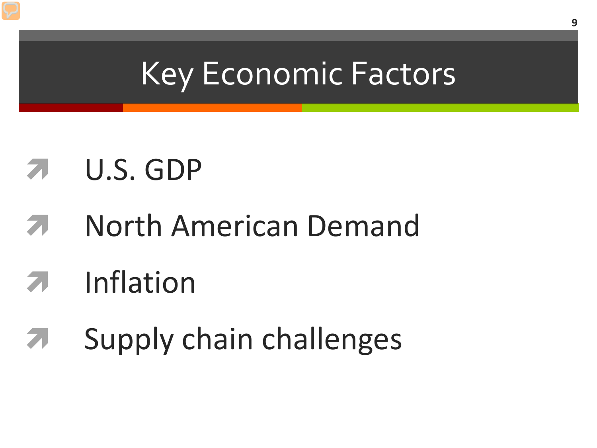#### Key Economic Factors

#### U.S. GDP

North American Demand

## Inflation

**7** Supply chain challenges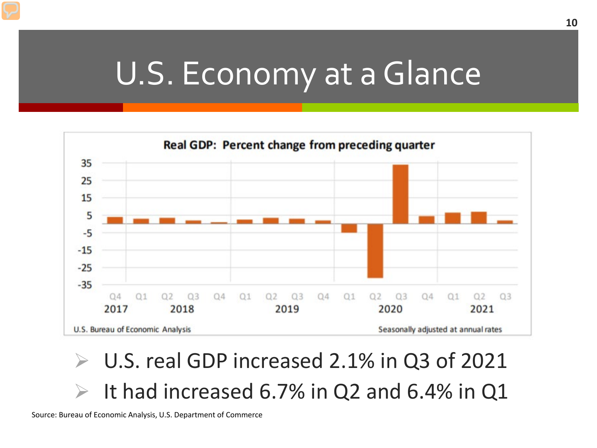#### U.S. Economy at a Glance



 U.S. real GDP increased 2.1% in Q3 of 2021  $\triangleright$  It had increased 6.7% in Q2 and 6.4% in Q1

Source: Bureau of Economic Analysis, U.S. Department of Commerce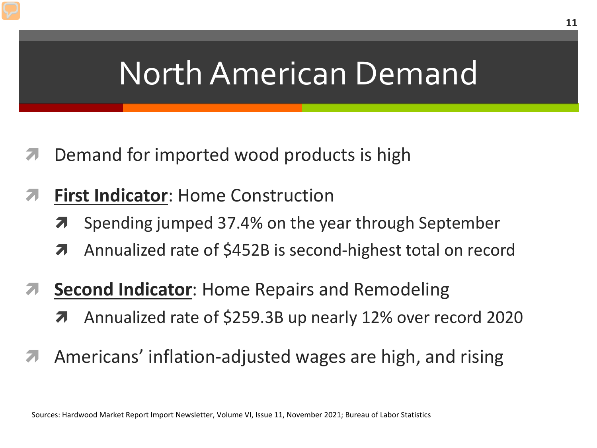#### North American Demand

- Demand for imported wood products is high
- **First Indicator**: Home Construction
	- **7** Spending jumped 37.4% on the year through September
	- **A** Annualized rate of \$452B is second-highest total on record
- **Second Indicator**: Home Repairs and Remodeling
	- Annualized rate of \$259.3B up nearly 12% over record 2020
- Americans' inflation-adjusted wages are high, and rising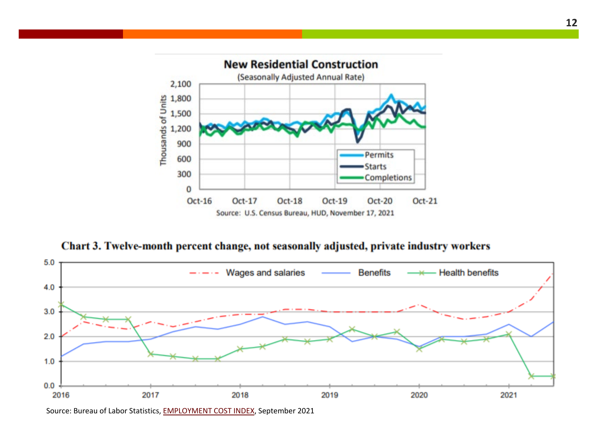

Chart 3. Twelve-month percent change, not seasonally adjusted, private industry workers



**12**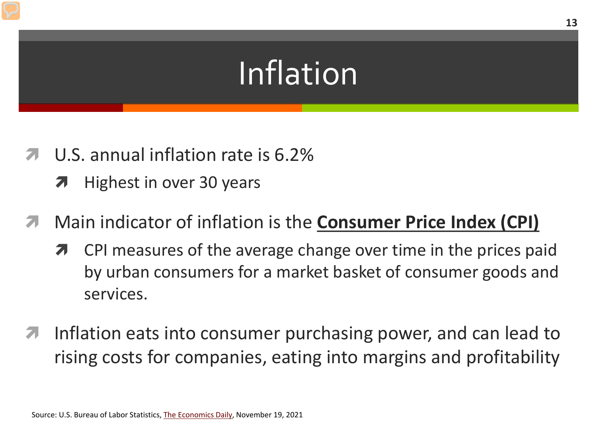## Inflation

- U.S. annual inflation rate is 6.2%
	- $\lambda$  Highest in over 30 years
- Main indicator of inflation is the **Consumer Price Index (CPI)**
	- **7** CPI measures of the average change over time in the prices paid by urban consumers for a market basket of consumer goods and services.
- Inflation eats into consumer purchasing power, and can lead to rising costs for companies, eating into margins and profitability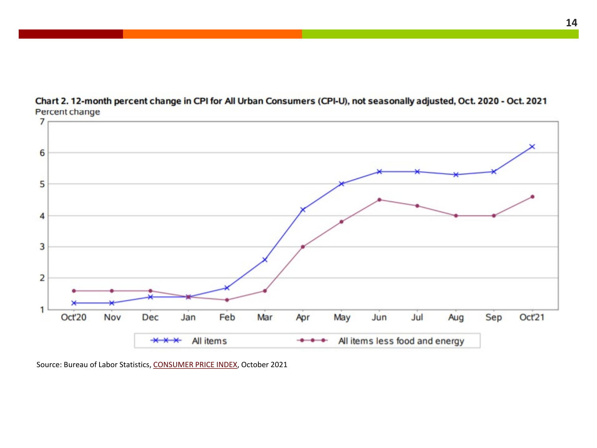



Source: Bureau of Labor Statistics, [CONSUMER PRICE INDEX](mailto:https://www.bls.gov/news.release/pdf/cpi.pdf), October 2021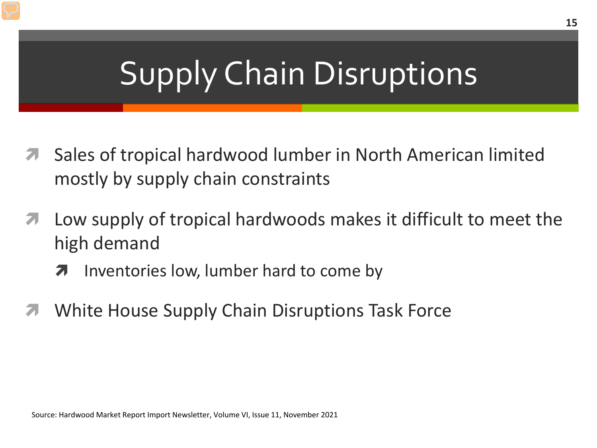## Supply Chain Disruptions

- Sales of tropical hardwood lumber in North American limited mostly by supply chain constraints
- Low supply of tropical hardwoods makes it difficult to meet the high demand
	- **7** Inventories low, lumber hard to come by
- White House Supply Chain Disruptions Task Force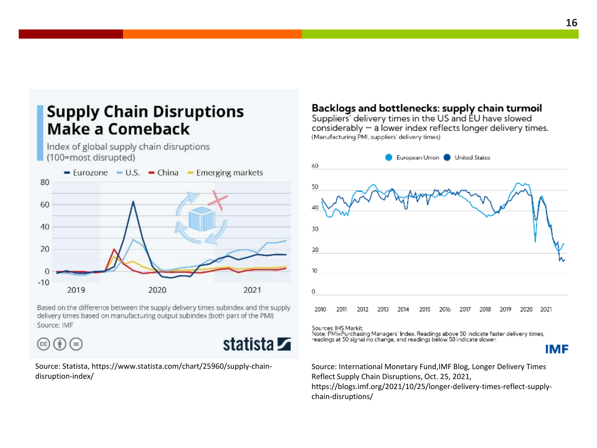#### **Supply Chain Disruptions** Make a Comeback

Index of global supply chain disruptions (100=most disrupted)



Based on the difference between the supply delivery times subindex and the supply delivery times based on manufacturing output subindex (both part of the PMI) Source: IMF

 $\left(\mathrm{c}\mathrm{c}\right)\left(\frac{\mathrm{i}}{\mathrm{i}}\right)\left(\mathrm{=}\right)$ 



Source: Statista, https://www.statista.com/chart/25960/supply-chaindisruption-index/

#### Backlogs and bottlenecks: supply chain turmoil

Suppliers' delivery times in the US and EU have slowed considerably - a lower index reflects longer delivery times. (Manufacturing PMI, suppliers' delivery times)



Sources: IHS Markit.

Note: PMI=Purchasing Managers' Index. Readings above 50 indicate faster delivery times, readings at 50 signal no change, and readings below 50 indicate slower.

IMF

Source: International Monetary Fund,IMF Blog, Longer Delivery Times Reflect Supply Chain Disruptions, Oct. 25, 2021, https://blogs.imf.org/2021/10/25/longer-delivery-times-reflect-supplychain-disruptions/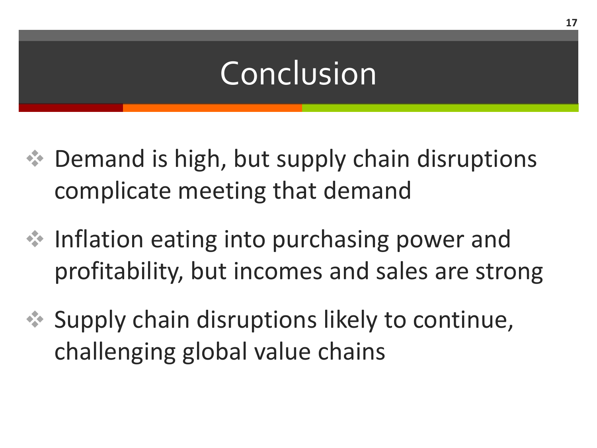### Conclusion

- $\triangleq$  Demand is high, but supply chain disruptions complicate meeting that demand
- $\cdot$  Inflation eating into purchasing power and profitability, but incomes and sales are strong
- $\leftrightarrow$  Supply chain disruptions likely to continue, challenging global value chains